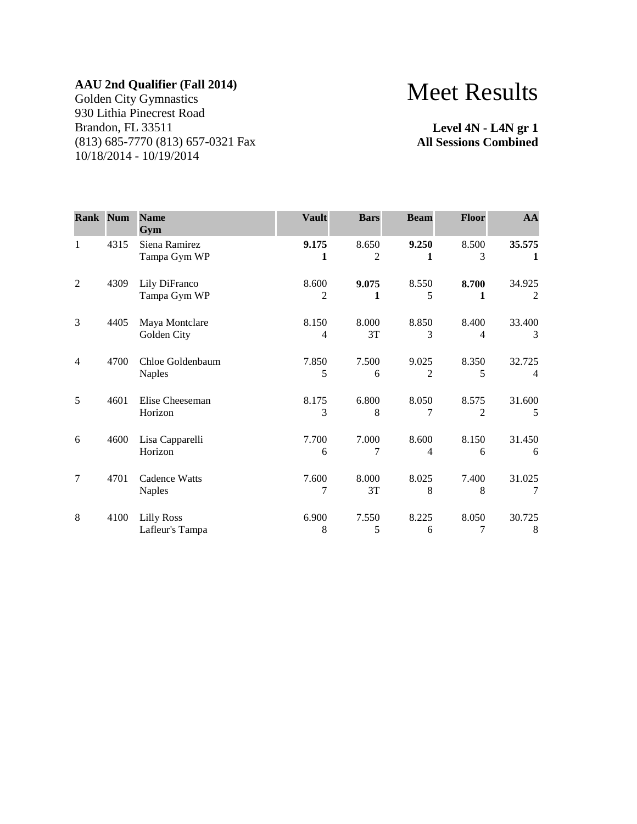Golden City Gymnastics 930 Lithia Pinecrest Road Brandon, FL 33511 (813) 685-7770 (813) 657-0321 Fax 10/18/2014 - 10/19/2014

# Meet Results

**Level 4N - L4N gr 1 All Sessions Combined**

| <b>Rank Num</b> |      | <b>Name</b><br>Gym                   | <b>Vault</b> | <b>Bars</b> | <b>Beam</b>             | <b>Floor</b>            | AA          |
|-----------------|------|--------------------------------------|--------------|-------------|-------------------------|-------------------------|-------------|
| $\mathbf{1}$    | 4315 | Siena Ramirez<br>Tampa Gym WP        | 9.175<br>1   | 8.650<br>2  | 9.250<br>1              | 8.500<br>3              | 35.575<br>1 |
| $\overline{2}$  | 4309 | Lily DiFranco<br>Tampa Gym WP        | 8.600<br>2   | 9.075<br>1  | 8.550<br>5              | 8.700<br>1              | 34.925<br>2 |
| 3               | 4405 | Maya Montclare<br>Golden City        | 8.150<br>4   | 8.000<br>3T | 8.850<br>3              | 8.400<br>4              | 33.400<br>3 |
| $\overline{4}$  | 4700 | Chloe Goldenbaum<br><b>Naples</b>    | 7.850<br>5   | 7.500<br>6  | 9.025<br>$\overline{c}$ | 8.350<br>5              | 32.725<br>4 |
| 5               | 4601 | Elise Cheeseman<br>Horizon           | 8.175<br>3   | 6.800<br>8  | 8.050                   | 8.575<br>$\overline{2}$ | 31.600<br>5 |
| 6               | 4600 | Lisa Capparelli<br>Horizon           | 7.700<br>6   | 7.000<br>7  | 8.600<br>$\overline{4}$ | 8.150<br>6              | 31.450<br>6 |
| 7               | 4701 | Cadence Watts<br><b>Naples</b>       | 7.600<br>7   | 8.000<br>3T | 8.025<br>8              | 7.400<br>8              | 31.025<br>7 |
| 8               | 4100 | <b>Lilly Ross</b><br>Lafleur's Tampa | 6.900<br>8   | 7.550<br>5  | 8.225<br>6              | 8.050<br>7              | 30.725<br>8 |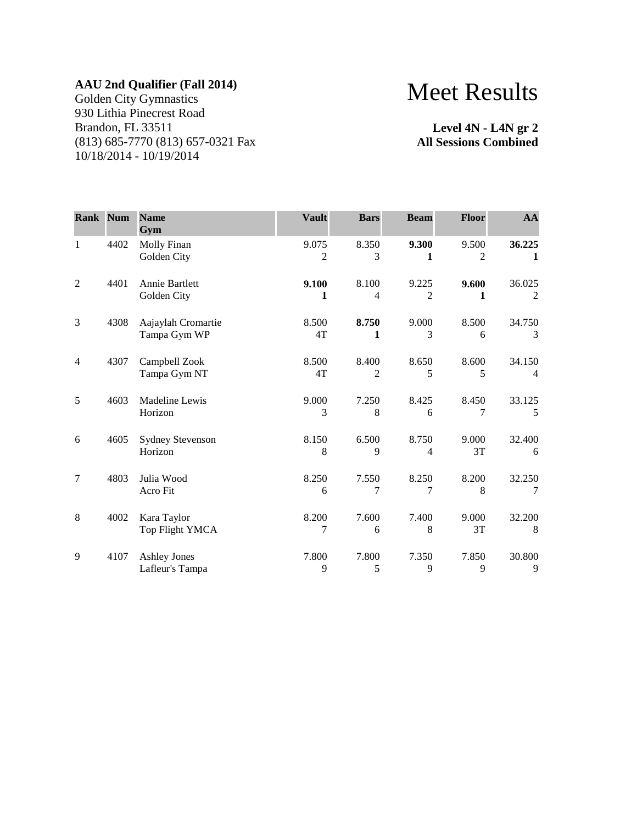Golden City Gymnastics 930 Lithia Pinecrest Road Brandon, FL 33511 (813) 685-7770 (813) 657-0321 Fax 10/18/2014 - 10/19/2014

# Meet Results

**Level 4N - L4N gr 2 All Sessions Combined**

| <b>Rank Num</b> |      | <b>Name</b><br>Gym                     | <b>Vault</b> | <b>Bars</b> | <b>Beam</b>             | Floor       | AA                       |
|-----------------|------|----------------------------------------|--------------|-------------|-------------------------|-------------|--------------------------|
| 1               | 4402 | Molly Finan<br>Golden City             | 9.075<br>2   | 8.350<br>3  | 9.300<br>1              | 9.500<br>2  | 36.225<br>1              |
| $\overline{2}$  | 4401 | <b>Annie Bartlett</b><br>Golden City   | 9.100<br>1   | 8.100<br>4  | 9.225<br>$\overline{c}$ | 9.600<br>1  | 36.025<br>2              |
| 3               | 4308 | Aajaylah Cromartie<br>Tampa Gym WP     | 8.500<br>4T  | 8.750<br>1  | 9.000<br>3              | 8.500<br>6  | 34.750<br>3              |
| $\overline{4}$  | 4307 | Campbell Zook<br>Tampa Gym NT          | 8.500<br>4T  | 8.400<br>2  | 8.650<br>5              | 8.600<br>5  | 34.150<br>$\overline{4}$ |
| 5               | 4603 | Madeline Lewis<br>Horizon              | 9.000<br>3   | 7.250<br>8  | 8.425<br>6              | 8.450<br>7  | 33.125<br>5              |
| 6               | 4605 | <b>Sydney Stevenson</b><br>Horizon     | 8.150<br>8   | 6.500<br>9  | 8.750<br>4              | 9.000<br>3T | 32.400<br>6              |
| $\overline{7}$  | 4803 | Julia Wood<br>Acro Fit                 | 8.250<br>6   | 7.550<br>7  | 8.250<br>7              | 8.200<br>8  | 32.250<br>7              |
| 8               | 4002 | Kara Taylor<br>Top Flight YMCA         | 8.200<br>7   | 7.600<br>6  | 7.400<br>8              | 9.000<br>3T | 32.200<br>8              |
| 9               | 4107 | <b>Ashley Jones</b><br>Lafleur's Tampa | 7.800<br>9   | 7.800<br>5  | 7.350<br>9              | 7.850<br>9  | 30.800<br>9              |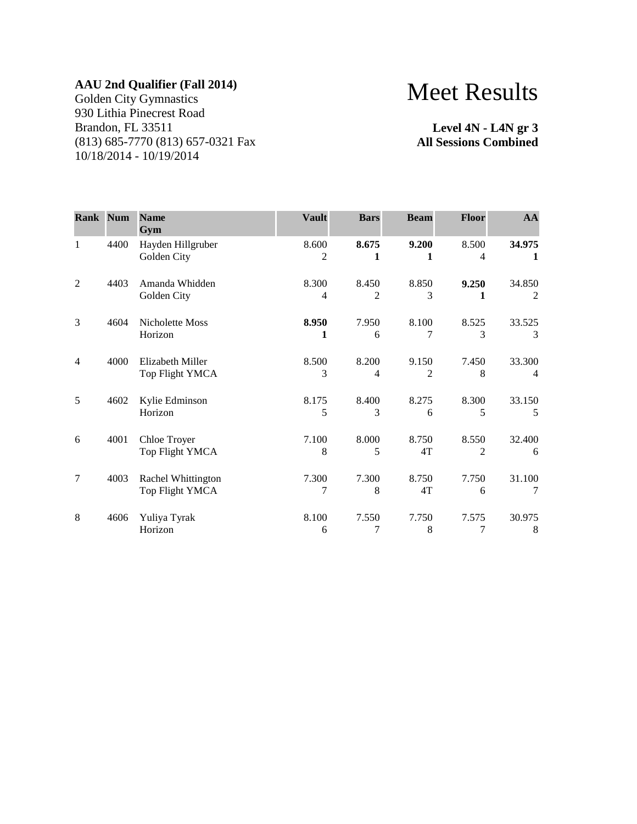Golden City Gymnastics 930 Lithia Pinecrest Road Brandon, FL 33511 (813) 685-7770 (813) 657-0321 Fax 10/18/2014 - 10/19/2014

# Meet Results

**Level 4N - L4N gr 3 All Sessions Combined**

| <b>Rank Num</b> |      | <b>Name</b><br>Gym                    | <b>Vault</b> | <b>Bars</b>             | <b>Beam</b> | <b>Floor</b>            | AA          |
|-----------------|------|---------------------------------------|--------------|-------------------------|-------------|-------------------------|-------------|
| $\mathbf{1}$    | 4400 | Hayden Hillgruber<br>Golden City      | 8.600<br>2   | 8.675<br>1              | 9.200       | 8.500<br>4              | 34.975<br>1 |
| $\overline{2}$  | 4403 | Amanda Whidden<br>Golden City         | 8.300<br>4   | 8.450<br>$\overline{c}$ | 8.850<br>3  | 9.250<br>1              | 34.850<br>2 |
| 3               | 4604 | Nicholette Moss<br>Horizon            | 8.950<br>1   | 7.950<br>6              | 8.100       | 8.525<br>3              | 33.525<br>3 |
| 4               | 4000 | Elizabeth Miller<br>Top Flight YMCA   | 8.500<br>3   | 8.200<br>4              | 9.150<br>2  | 7.450<br>8              | 33.300<br>4 |
| 5               | 4602 | Kylie Edminson<br>Horizon             | 8.175<br>5   | 8.400<br>3              | 8.275<br>6  | 8.300<br>5              | 33.150<br>5 |
| 6               | 4001 | Chloe Troyer<br>Top Flight YMCA       | 7.100<br>8   | 8.000<br>5              | 8.750<br>4T | 8.550<br>$\overline{c}$ | 32.400<br>6 |
| 7               | 4003 | Rachel Whittington<br>Top Flight YMCA | 7.300<br>7   | 7.300<br>8              | 8.750<br>4T | 7.750<br>6              | 31.100<br>7 |
| 8               | 4606 | Yuliya Tyrak<br>Horizon               | 8.100<br>6   | 7.550<br>7              | 7.750<br>8  | 7.575<br>7              | 30.975<br>8 |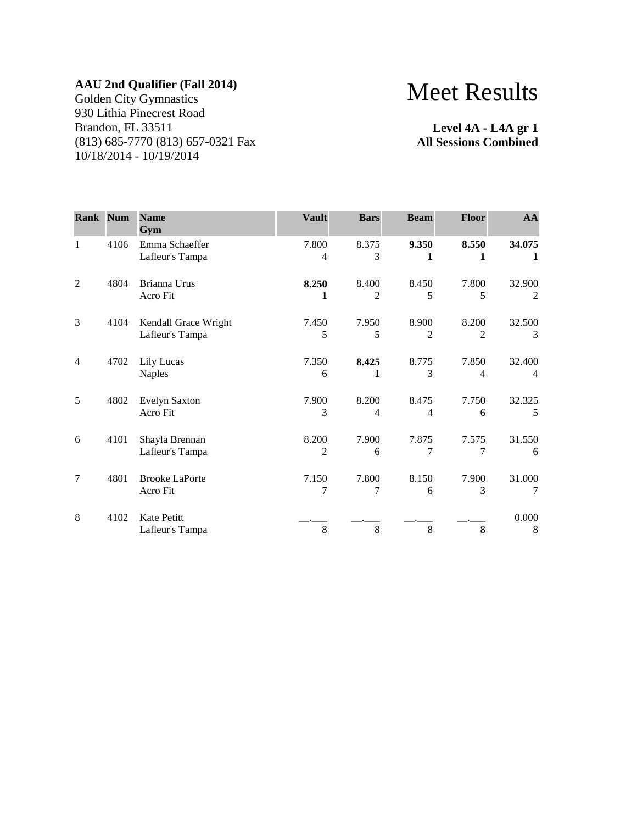Golden City Gymnastics 930 Lithia Pinecrest Road Brandon, FL 33511 (813) 685-7770 (813) 657-0321 Fax 10/18/2014 - 10/19/2014

# Meet Results

**Level 4A - L4A gr 1 All Sessions Combined**

| <b>Rank Num</b> |      | <b>Name</b><br>Gym                      | <b>Vault</b> | <b>Bars</b>             | <b>Beam</b>             | <b>Floor</b> | AA                       |
|-----------------|------|-----------------------------------------|--------------|-------------------------|-------------------------|--------------|--------------------------|
| 1               | 4106 | Emma Schaeffer<br>Lafleur's Tampa       | 7.800<br>4   | 8.375<br>3              | 9.350<br>1              | 8.550<br>1   | 34.075<br>1              |
| $\overline{2}$  | 4804 | Brianna Urus<br>Acro Fit                | 8.250<br>1   | 8.400<br>$\overline{c}$ | 8.450<br>5              | 7.800<br>5   | 32.900<br>2              |
| 3               | 4104 | Kendall Grace Wright<br>Lafleur's Tampa | 7.450<br>5   | 7.950<br>5              | 8.900<br>2              | 8.200<br>2   | 32.500<br>3              |
| $\overline{4}$  | 4702 | Lily Lucas<br><b>Naples</b>             | 7.350<br>6   | 8.425<br>1              | 8.775<br>3              | 7.850<br>4   | 32.400<br>$\overline{4}$ |
| 5               | 4802 | <b>Evelyn Saxton</b><br>Acro Fit        | 7.900<br>3   | 8.200<br>4              | 8.475<br>$\overline{4}$ | 7.750<br>6   | 32.325<br>5              |
| 6               | 4101 | Shayla Brennan<br>Lafleur's Tampa       | 8.200<br>2   | 7.900<br>6              | 7.875<br>7              | 7.575<br>7   | 31.550<br>6              |
| 7               | 4801 | <b>Brooke LaPorte</b><br>Acro Fit       | 7.150<br>7   | 7.800<br>7              | 8.150<br>6              | 7.900<br>3   | 31.000<br>7              |
| 8               | 4102 | Kate Petitt<br>Lafleur's Tampa          | 8            | 8                       | 8                       | 8            | 0.000<br>8               |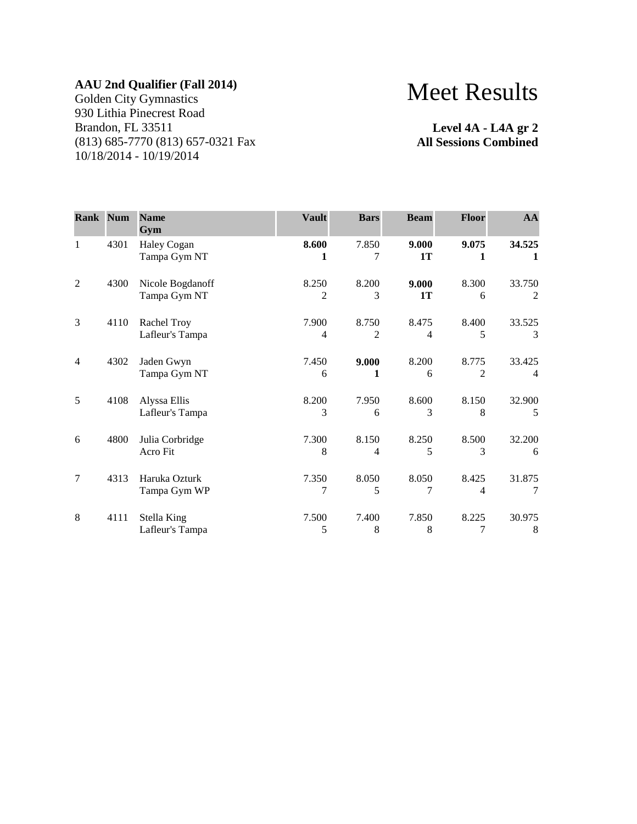Golden City Gymnastics 930 Lithia Pinecrest Road Brandon, FL 33511 (813) 685-7770 (813) 657-0321 Fax 10/18/2014 - 10/19/2014

# Meet Results

**Level 4A - L4A gr 2 All Sessions Combined**

| Rank Num       |      | <b>Name</b><br>Gym               | <b>Vault</b> | <b>Bars</b> | <b>Beam</b> | <b>Floor</b> | AA                       |
|----------------|------|----------------------------------|--------------|-------------|-------------|--------------|--------------------------|
| $\mathbf{1}$   | 4301 | Haley Cogan<br>Tampa Gym NT      | 8.600<br>1   | 7.850<br>7  | 9.000<br>1T | 9.075<br>1   | 34.525<br>1              |
| $\overline{2}$ | 4300 | Nicole Bogdanoff<br>Tampa Gym NT | 8.250<br>2   | 8.200<br>3  | 9.000<br>1T | 8.300<br>6   | 33.750<br>2              |
| 3              | 4110 | Rachel Troy<br>Lafleur's Tampa   | 7.900<br>4   | 8.750<br>2  | 8.475<br>4  | 8.400<br>5   | 33.525<br>3              |
| $\overline{4}$ | 4302 | Jaden Gwyn<br>Tampa Gym NT       | 7.450<br>6   | 9.000<br>1  | 8.200<br>6  | 8.775<br>2   | 33.425<br>$\overline{4}$ |
| 5              | 4108 | Alyssa Ellis<br>Lafleur's Tampa  | 8.200<br>3   | 7.950<br>6  | 8.600<br>3  | 8.150<br>8   | 32.900<br>5              |
| 6              | 4800 | Julia Corbridge<br>Acro Fit      | 7.300<br>8   | 8.150<br>4  | 8.250<br>5  | 8.500<br>3   | 32.200<br>6              |
| 7              | 4313 | Haruka Ozturk<br>Tampa Gym WP    | 7.350<br>7   | 8.050<br>5  | 8.050<br>7  | 8.425<br>4   | 31.875<br>7              |
| 8              | 4111 | Stella King<br>Lafleur's Tampa   | 7.500<br>5   | 7.400<br>8  | 7.850<br>8  | 8.225<br>7   | 30.975<br>8              |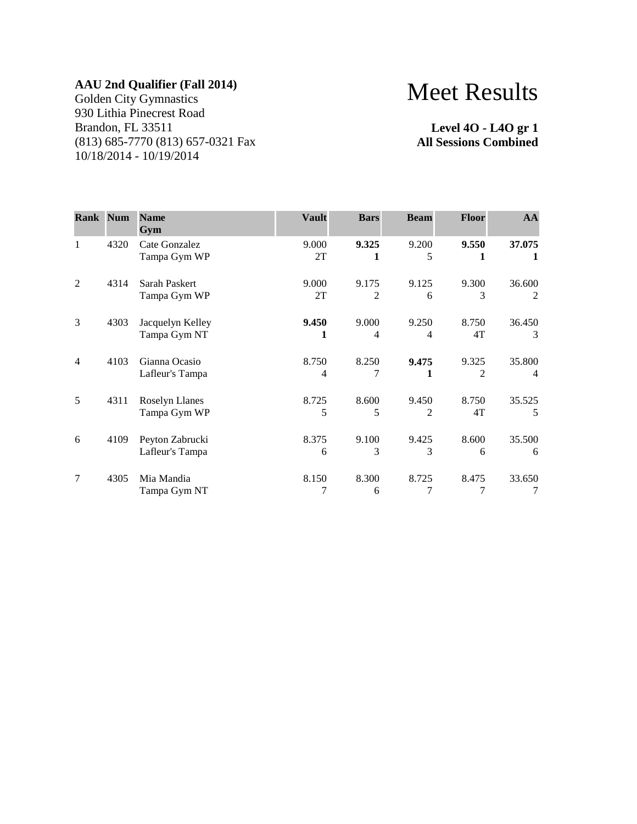Golden City Gymnastics 930 Lithia Pinecrest Road Brandon, FL 33511 (813) 685-7770 (813) 657-0321 Fax 10/18/2014 - 10/19/2014

# Meet Results

**Level 4O - L4O gr 1 All Sessions Combined**

| <b>Rank Num</b> |      | <b>Name</b><br>Gym                    | <b>Vault</b> | <b>Bars</b> | <b>Beam</b> | <b>Floor</b>            | AA                       |
|-----------------|------|---------------------------------------|--------------|-------------|-------------|-------------------------|--------------------------|
| 1               | 4320 | Cate Gonzalez<br>Tampa Gym WP         | 9.000<br>2T  | 9.325<br>1  | 9.200<br>5  | 9.550<br>1              | 37.075<br>1              |
| $\overline{2}$  | 4314 | Sarah Paskert<br>Tampa Gym WP         | 9.000<br>2T  | 9.175<br>2  | 9.125<br>6  | 9.300<br>3              | 36.600<br>2              |
| 3               | 4303 | Jacquelyn Kelley<br>Tampa Gym NT      | 9.450<br>1   | 9.000<br>4  | 9.250<br>4  | 8.750<br>4T             | 36.450<br>3              |
| $\overline{4}$  | 4103 | Gianna Ocasio<br>Lafleur's Tampa      | 8.750<br>4   | 8.250<br>7  | 9.475       | 9.325<br>$\overline{2}$ | 35.800<br>$\overline{4}$ |
| 5               | 4311 | <b>Roselyn Llanes</b><br>Tampa Gym WP | 8.725<br>5   | 8.600<br>5  | 9.450<br>2  | 8.750<br>4T             | 35.525<br>.5             |
| 6               | 4109 | Peyton Zabrucki<br>Lafleur's Tampa    | 8.375<br>6   | 9.100<br>3  | 9.425<br>3  | 8.600<br>6              | 35.500<br>6              |
| 7               | 4305 | Mia Mandia<br>Tampa Gym NT            | 8.150        | 8.300<br>6  | 8.725       | 8.475<br>7              | 33.650                   |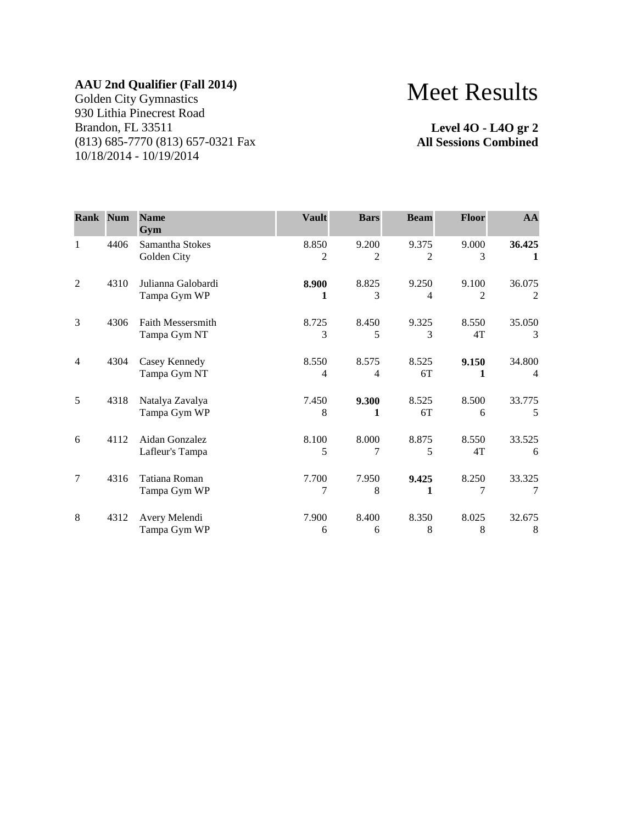Golden City Gymnastics 930 Lithia Pinecrest Road Brandon, FL 33511 (813) 685-7770 (813) 657-0321 Fax 10/18/2014 - 10/19/2014

# Meet Results

**Level 4O - L4O gr 2 All Sessions Combined**

| <b>Rank Num</b> |      | <b>Name</b><br>Gym                       | <b>Vault</b> | <b>Bars</b> | <b>Beam</b>             | <b>Floor</b>            | AA                       |
|-----------------|------|------------------------------------------|--------------|-------------|-------------------------|-------------------------|--------------------------|
| $\mathbf{1}$    | 4406 | Samantha Stokes<br>Golden City           | 8.850<br>2   | 9.200<br>2  | 9.375<br>2              | 9.000<br>3              | 36.425<br>1              |
| $\overline{2}$  | 4310 | Julianna Galobardi<br>Tampa Gym WP       | 8.900<br>1   | 8.825<br>3  | 9.250<br>$\overline{4}$ | 9.100<br>$\overline{c}$ | 36.075<br>2              |
| 3               | 4306 | <b>Faith Messersmith</b><br>Tampa Gym NT | 8.725<br>3   | 8.450<br>5  | 9.325<br>3              | 8.550<br>4T             | 35.050<br>3              |
| $\overline{4}$  | 4304 | Casey Kennedy<br>Tampa Gym NT            | 8.550<br>4   | 8.575<br>4  | 8.525<br>6T             | 9.150<br>1              | 34.800<br>$\overline{4}$ |
| 5               | 4318 | Natalya Zavalya<br>Tampa Gym WP          | 7.450<br>8   | 9.300<br>1  | 8.525<br>6T             | 8.500<br>6              | 33.775<br>.5             |
| 6               | 4112 | Aidan Gonzalez<br>Lafleur's Tampa        | 8.100<br>5   | 8.000<br>7  | 8.875<br>5              | 8.550<br>4T             | 33.525<br>6              |
| 7               | 4316 | Tatiana Roman<br>Tampa Gym WP            | 7.700<br>7   | 7.950<br>8  | 9.425<br>1              | 8.250<br>7              | 33.325<br>7              |
| 8               | 4312 | Avery Melendi<br>Tampa Gym WP            | 7.900<br>6   | 8.400<br>6  | 8.350<br>8              | 8.025<br>8              | 32.675<br>8              |